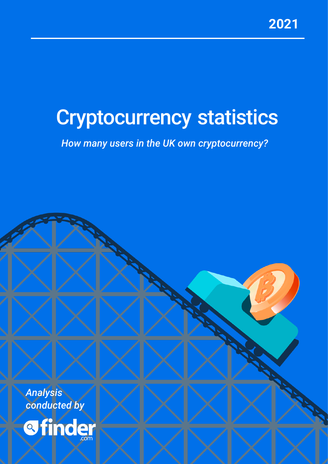# Cryptocurrency statistics

*How many users in the UK own cryptocurrency?*

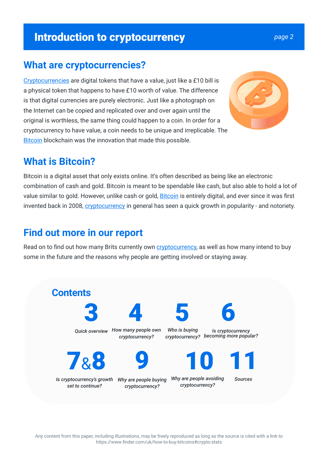#### **Introduction to cryptocurrency** *page 2*

#### **What are cryptocurrencies?**

Cryptocurrencies are digital tokens that have a value, just like a £10 bill is a physical token that happens to have £10 worth of value. The difference is that digital currencies are purely electronic. Just like a photograph on the Internet can be copied and replicated over and over again until the original is worthless, the same thing could happen to a coin. In order for a cryptocurrency to have value, a coin needs to be unique and irreplicable. The Bitcoin blockchain was the innovation that made this possible.

#### **What is Bitcoin?**

Bitcoin is a digital asset that only exists online. It's often described as being like an electronic combination of cash and gold. Bitcoin is meant to be spendable like cash, but also able to hold a lot of value similar to gold. However, unlike cash or gold, **Bitcoin** is entirely digital, and ever since it was first invented back in 2008, *cryptocurrency* in general has seen a quick growth in popularity - and notoriety.

#### **Find out more in our report**

Read on to find out how many Brits currently own cryptocurrency, as well as how many intend to buy some in the future and the reasons why people are getting involved or staying away.

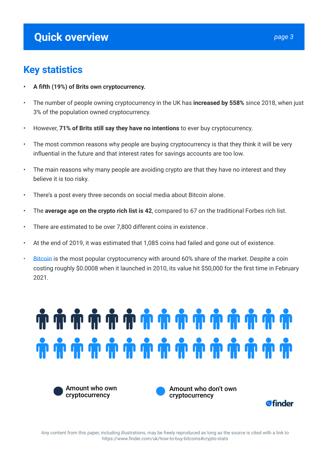#### **Quick overview** *page 3*

#### **Key statistics**

- **A fifth (19%) of Brits own cryptocurrency.**
- The number of people owning cryptocurrency in the UK has **increased by 558%** since 2018, when just 3% of the population owned cryptocurrency.
- However, **71% of Brits still say they have no intentions** to ever buy cryptocurrency.
- The most common reasons why people are buying cryptocurrency is that they think it will be very influential in the future and that interest rates for savings accounts are too low.
- The main reasons why many people are avoiding crypto are that they have no interest and they believe it is too risky.
- There's a post every three seconds on social media about Bitcoin alone.
- The **average age on the crypto rich list is 42**, compared to 67 on the traditional Forbes rich list.
- There are estimated to be over 7,800 different coins in existence .
- At the end of 2019, it was estimated that 1,085 coins had failed and gone out of existence.
- Bitcoin is the most popular cryptocurrency with around 60% share of the market. Despite a coin costing roughly \$0.0008 when it launched in 2010, its value hit \$50,000 for the first time in February 2021.

# **TH TH TH TH TH TH TH TH TH TH TH TH TH**



Amount who don't own cryptocurrency



Any content from this paper, including illustrations, may be freely reproduced as long as the source is cited with a link to https://www.finder.com/uk/how-to-buy-bitcoins#crypto-stats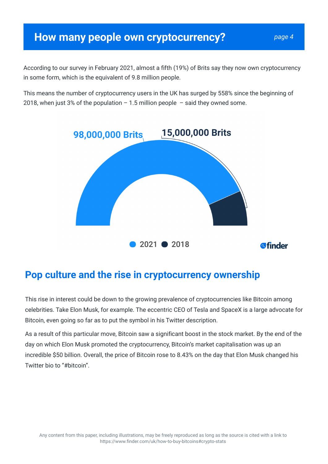#### **How many people own cryptocurrency?** *page 4*

According to our survey in February 2021, almost a fifth (19%) of Brits say they now own cryptocurrency in some form, which is the equivalent of 9.8 million people.

This means the number of cryptocurrency users in the UK has surged by 558% since the beginning of 2018, when just 3% of the population  $-1.5$  million people  $-$  said they owned some.



#### **Pop culture and the rise in cryptocurrency ownership**

This rise in interest could be down to the growing prevalence of cryptocurrencies like Bitcoin among celebrities. Take Elon Musk, for example. The eccentric CEO of Tesla and SpaceX is a large advocate for Bitcoin, even going so far as to put the symbol in his Twitter description.

As a result of this particular move, Bitcoin saw a significant boost in the stock market. By the end of the day on which Elon Musk promoted the cryptocurrency, Bitcoin's market capitalisation was up an incredible \$50 billion. Overall, the price of Bitcoin rose to 8.43% on the day that Elon Musk changed his Twitter bio to "#bitcoin".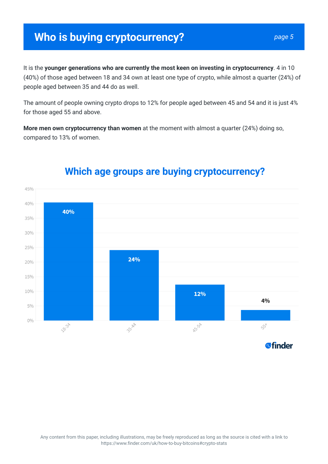# **Who is buying cryptocurrency?**

It is the **younger generations who are currently the most keen on investing in cryptocurrency**. 4 in 10 (40%) of those aged between 18 and 34 own at least one type of crypto, while almost a quarter (24%) of people aged between 35 and 44 do as well.

The amount of people owning crypto drops to 12% for people aged between 45 and 54 and it is just 4% for those aged 55 and above.

**More men own cryptocurrency than women** at the moment with almost a quarter (24%) doing so, compared to 13% of women.



#### **Which age groups are buying cryptocurrency?**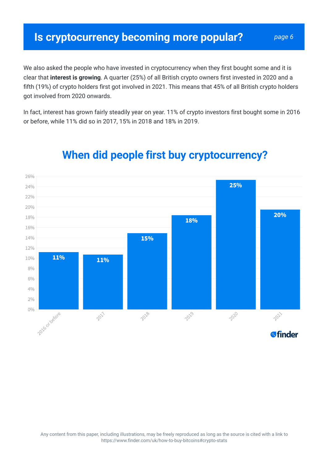We also asked the people who have invested in cryptocurrency when they first bought some and it is clear that **interest is growing**. A quarter (25%) of all British crypto owners first invested in 2020 and a fifth (19%) of crypto holders first got involved in 2021. This means that 45% of all British crypto holders got involved from 2020 onwards.

In fact, interest has grown fairly steadily year on year. 11% of crypto investors first bought some in 2016 or before, while 11% did so in 2017, 15% in 2018 and 18% in 2019.



# **When did people first buy cryptocurrency?**

Any content from this paper, including illustrations, may be freely reproduced as long as the source is cited with a link to https://www.finder.com/uk/how-to-buy-bitcoins#crypto-stats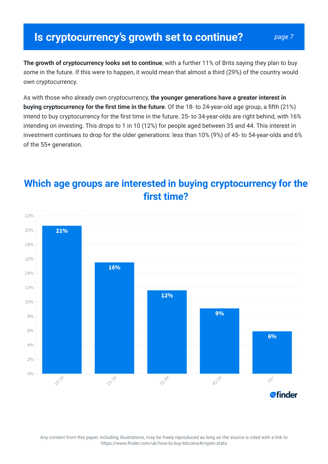**The growth of cryptocurrency looks set to continue**, with a further 11% of Brits saying they plan to buy some in the future. If this were to happen, it would mean that almost a third (29%) of the country would own cryptocurrency.

As with those who already own cryptocurrency, **the younger generations have a greater interest in buying cryptocurrency for the first time in the future**. Of the 18- to 24-year-old age group, a fifth (21%) intend to buy cryptocurrency for the first time in the future. 25- to 34-year-olds are right behind, with 16% intending on investing. This drops to 1 in 10 (12%) for people aged between 35 and 44. This interest in investment continues to drop for the older generations: less than 10% (9%) of 45- to 54-year-olds and 6% of the 55+ generation.



#### **Which age groups are interested in buying cryptocurrency for the first time?**

Any content from this paper, including illustrations, may be freely reproduced as long as the source is cited with a link to https://www.finder.com/uk/how-to-buy-bitcoins#crypto-stats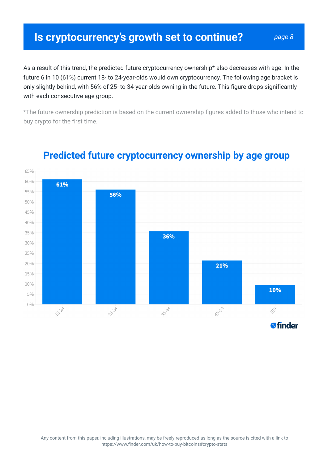#### **Is cryptocurrency's growth set to continue?** *page 8*

As a result of this trend, the predicted future cryptocurrency ownership\* also decreases with age. In the future 6 in 10 (61%) current 18- to 24-year-olds would own cryptocurrency. The following age bracket is only slightly behind, with 56% of 25- to 34-year-olds owning in the future. This figure drops significantly with each consecutive age group.

\*The future ownership prediction is based on the current ownership figures added to those who intend to buy crypto for the first time.



#### **Predicted future cryptocurrency ownership by age group**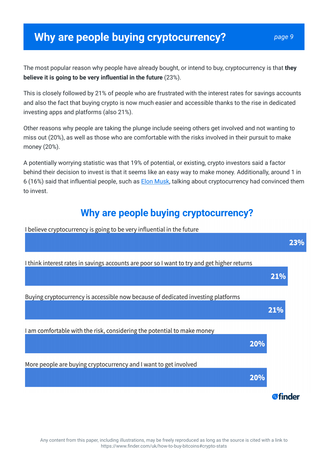#### **Why are people buying cryptocurrency?** *page 9*

The most popular reason why people have already bought, or intend to buy, cryptocurrency is that **they believe it is going to be very influential in the future** (23%).

This is closely followed by 21% of people who are frustrated with the interest rates for savings accounts and also the fact that buying crypto is now much easier and accessible thanks to the rise in dedicated investing apps and platforms (also 21%).

Other reasons why people are taking the plunge include seeing others get involved and not wanting to miss out (20%), as well as those who are comfortable with the risks involved in their pursuit to make money (20%).

A potentially worrying statistic was that 19% of potential, or existing, crypto investors said a factor behind their decision to invest is that it seems like an easy way to make money. Additionally, around 1 in 6 (16%) said that influential people, such as Elon Musk, talking about cryptocurrency had convinced them to invest.

#### **Why are people buying cryptocurrency?**

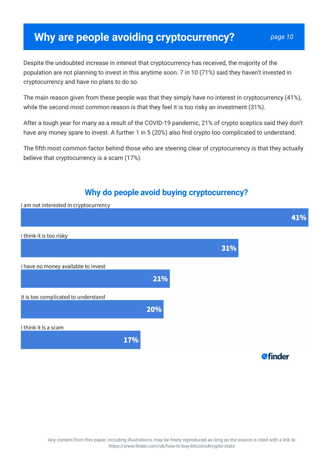### **Why are people avoiding cryptocurrency?** *page 10*

Despite the undoubted increase in interest that cryptocurrency has received, the majority of the population are not planning to invest in this anytime soon. 7 in 10 (71%) said they haven't invested in cryptocurrency and have no plans to do so.

The main reason given from these people was that they simply have no interest in cryptocurrency (41%), while the second most common reason is that they feel it is too risky an investment (31%).

After a tough year for many as a result of the COVID-19 pandemic, 21% of crypto sceptics said they don't have any money spare to invest. A further 1 in 5 (20%) also find crypto too complicated to understand.

The fifth most common factor behind those who are steering clear of cryptocurrency is that they actually believe that cryptocurrency is a scam (17%).

# **Why do people avoid buying cryptocurrency?** I am not interested in cryptocurrency 41% I think it is too risky 31% I have no money available to invest 21% It is too complicated to understand  $20%$ I think it is a scam 17% **a**finder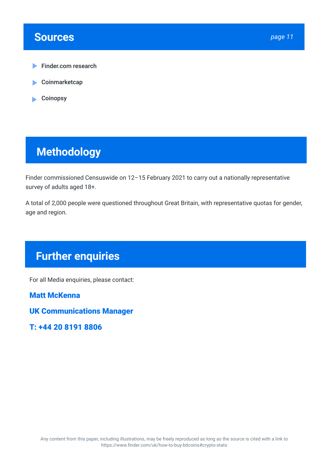#### **Sources** *page 11*

- Finder.com research
- **Coinmarketcap** ь
- Coinopsy

## **Methodology**

Finder commissioned Censuswide on 12–15 February 2021 to carry out a nationally representative survey of adults aged 18+.

A total of 2,000 people were questioned throughout Great Britain, with representative quotas for gender, age and region.

# **Further enquiries**

For all Media enquiries, please contact:

**Matt McKenna**

**UK Communications Manager**

**T: +44 20 8191 8806**